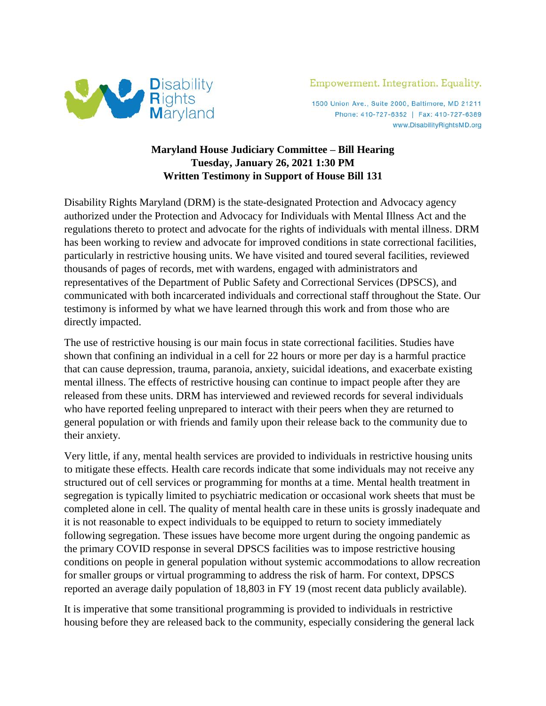

1500 Union Ave., Suite 2000, Baltimore, MD 21211 Phone: 410-727-6352 | Fax: 410-727-6389 www.DisabilityRightsMD.org

## **Maryland House Judiciary Committee – Bill Hearing Tuesday, January 26, 2021 1:30 PM Written Testimony in Support of House Bill 131**

Disability Rights Maryland (DRM) is the state-designated Protection and Advocacy agency authorized under the Protection and Advocacy for Individuals with Mental Illness Act and the regulations thereto to protect and advocate for the rights of individuals with mental illness. DRM has been working to review and advocate for improved conditions in state correctional facilities, particularly in restrictive housing units. We have visited and toured several facilities, reviewed thousands of pages of records, met with wardens, engaged with administrators and representatives of the Department of Public Safety and Correctional Services (DPSCS), and communicated with both incarcerated individuals and correctional staff throughout the State. Our testimony is informed by what we have learned through this work and from those who are directly impacted.

The use of restrictive housing is our main focus in state correctional facilities. Studies have shown that confining an individual in a cell for 22 hours or more per day is a harmful practice that can cause depression, trauma, paranoia, anxiety, suicidal ideations, and exacerbate existing mental illness. The effects of restrictive housing can continue to impact people after they are released from these units. DRM has interviewed and reviewed records for several individuals who have reported feeling unprepared to interact with their peers when they are returned to general population or with friends and family upon their release back to the community due to their anxiety.

Very little, if any, mental health services are provided to individuals in restrictive housing units to mitigate these effects. Health care records indicate that some individuals may not receive any structured out of cell services or programming for months at a time. Mental health treatment in segregation is typically limited to psychiatric medication or occasional work sheets that must be completed alone in cell. The quality of mental health care in these units is grossly inadequate and it is not reasonable to expect individuals to be equipped to return to society immediately following segregation. These issues have become more urgent during the ongoing pandemic as the primary COVID response in several DPSCS facilities was to impose restrictive housing conditions on people in general population without systemic accommodations to allow recreation for smaller groups or virtual programming to address the risk of harm. For context, DPSCS reported an average daily population of 18,803 in FY 19 (most recent data publicly available).

It is imperative that some transitional programming is provided to individuals in restrictive housing before they are released back to the community, especially considering the general lack